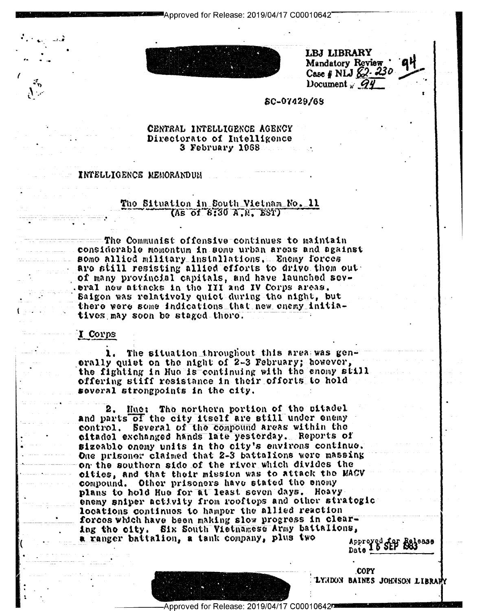Approved for Release: 2019/04/17 C00010642



LBJ LIBRARY Mandatory Review Case # NLJ  $62.230$ Document  $q$   $q$ 

### 50-07429/68

# CENTRAL INTELLIGENCE AGENCY Directorato of Intelligence 3 February 1968

#### INTELLIGENCE MEMORANDUN

# Tho Situation in South Vietnam No. 11  $($ As of  $8:30$   $A$ ,  $M$ ,  $ESY$ )

The Communist offensive continues to maintain considerable momontum in some urban areas and against some allied military installations. Enemy forces are still resisting allied efforts to drive them out of many provincial capitals, and have launched sev-.eral new attacks in the III and IV Corps areas. Saigon was relatively quiet during the night, but there were some indications that new enemy initiatives may soon be staged there.

## I Corps

1. The situation inroughout this area was generally quiet on the night of 2-3 February; however, the fighting in Hue is continuing with the enomy still offering stiff resistance in their offorts to hold several strongpoints in the city.

Hue: The northern portion of the sitadel 2. and parts of the city itself are still under enemy control. Several of the compound areas within the citadel exchanged hands late yesterday. Reports of sizeable enemy units in the city's environs continue. One prisoner claimed that 2-3 battalions were massing on the southern side of the river which divides the cities, and that their mission was to attack the MACV compound. Other prisoners have stated the enemy plans to hold Hue for at least seven days. Heavy enemy sniper activity from rooftops and other strategic locations continues to hamper the allied reaction forces which have been making slow progress in clearing tho city. Six South Vietnamese Army battalions, Approved for Release a ranger battalion, a tank company, plus two



**COPY** LYNDON BAINES JOHNSON LIBRARY

Approved for Release: 2019/04/17 C00010642¤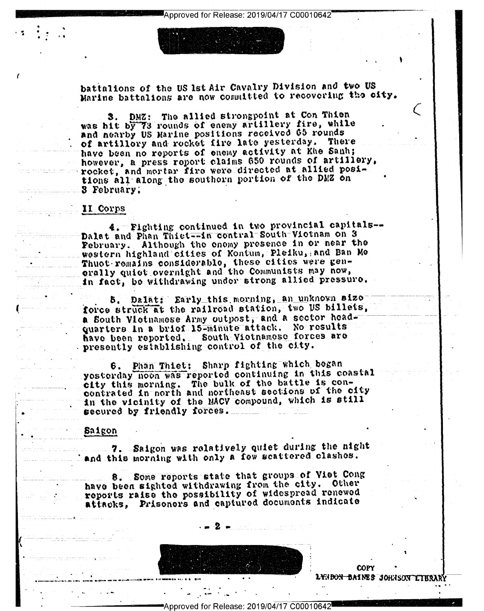battalions of the US lst Air Cavalry Division and two US Marine battalions are now committed to recovering the city.

3. DMZ: The allied strongpoint at Con Thien was hit by 73 rounds of enemy artillery fire, while and nearby US Marine positions received 65 rounds of artillory and rocket fire late yesterday. There have been no reports of enemy activity at Khe Sanh; however, a press report claims 650 rounds of artillery, rocket, and mortar fire were directed at allied positions all along the southern portion of the DMZ on 3 February;

## II Corps

4. Fighting continued in two provincial capitals--Dalat and Phan Thiet--in contral South-Victnam on 3 February. Although the enemy presence in or near the western highland cities of Kontum, Pleiku, and Ban Me Thuot romains considerable, these cities were gen-<br>erally quiet overnight and the Communists may now, in fact, be withdrawing under strong allied pressure.

5. Dalat: Early this morning, an unknown sizeforce struck at the railroad station, two US billets, a South Vletnamese Army outpost, and a sector headquarters In a brief 15-minute attack. No results have been reported. South Victnamese forces are presently establishing control of the city.

Phan Thiet: Sharp fighting which began 6. yosterday noon was reported continuing in this coastal city this morning. The bulk of the battle is concontrated in north and northeast sections of the city in the vicinity of the MACV compound, which is still secured by friendly forces.

## Saigon

Saigon was relatively quiet during the night 7. . and this morning with only a few scattered clashes.

8. Some reports state that groups of Viet Cong have been sighted withdrawing from the city. Other reports raise the possibility of widespread renewed attacks, Prisoners and captured documents indicate

COPY L<del>yndon Daines Johnson</del>

Approved for Release: 2019/04/17 C00010642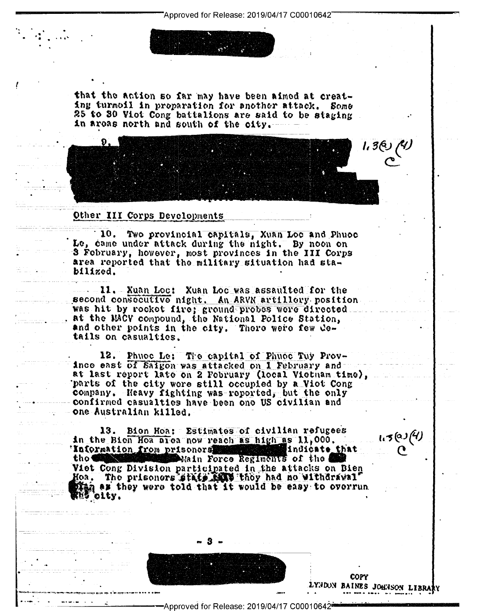that the action so far may have been aimed at creating turmoil in proparation for another attack. Some 25 to 30 Viot Cong battalions are said to be staging in areas north and south of the city.

Other III Corps Developments

10. Two provincial capitals, Xuan Loc and Phuoc Le, came under attack during the night. By noon on S Fobruary, however, most provinces in the III Corps area reported that the military situation had stabilized.

11. Xuan Loc: Xuan Loc was assaulted for the second consecutive night. An ARVN artillery position was hit by rocket fire; ground probes were directed. . at the MACV compound, the National Police Station, and other points in the city. There were few details on casualties.

12. Phuoe Le: The capital of Phuoe Tuy Provinco east of Saigon was attacked on I February and at last report late on 2 February (local Vietnam time), parts of the city wore still occupied by a Viet Cong company. Heavy fighting was reported, but the only confirmed casualties have been one US civilian and one Australian killed.

13. Bion Hoa: Estimates of civilian refugees in the Bien Hoa area now reach as high as 11,000. Information from prisoners and the contract of indicate that tho **G** Main Force Regiments of the Viet Cong Division participated in the attacks on Bien Hoa. The prisoners state that they had no withdrawal" as they were told that it would be easy to overrun olty.

> COPY LYNDON BAINES JOHNSON LIBRARY

1.5@J(4)

رہم دجn<br>م

Approved for Release: 2019/04/17 C00010642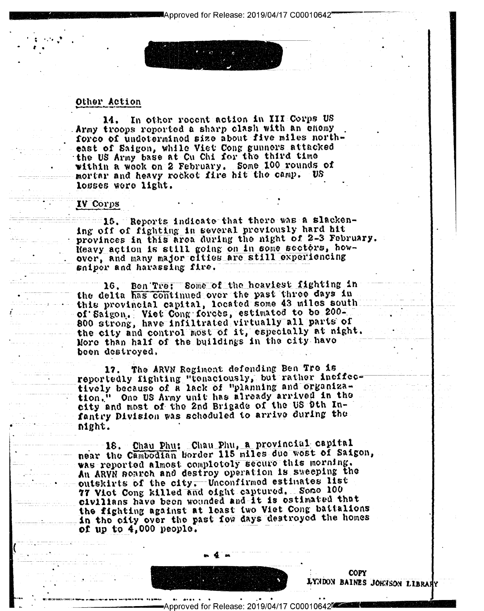# Other Action

In other recent action in III Corps US 14. Army troops reported a sharp clash with an enemy force of undetermined size about five miles northeast of Saigon, while Viet Cong gunners attacked the US Army base at Cu Chi for the third time within a wook on 2 February. Some 100 rounds of mortar and heavy rocket fire hit the camp. losses wore light.

# IV Corps

and 15. Reports indicate that there was a slackening off of fighting in several previously hard hit provinces in this area during the night of 2-3 February. Reavy action is still going on in some sectors, howover, and many major cities are still experiencing sniper and harassing fire.

16. Ben Tre: Some of the heaviest fighting in the delta has continued over the past three days in this provincial capital, located some 43 miles south of Saigon. Viet Cong forces, estimated to be 200-800 strong, have infiltrated virtually all parts of the city and control most of it, especially at night. More than half of the buildings in the city have been destroyed.

17. The ARVN Regiment defending Ben Tre is reportedly fighting "tenaciously, but rather ineffec-<br>tively because of a lack of "planning and organization." One US Army unit has already arrived in the city and most of the 2nd Brigade of the US 9th Infantry Division was scheduled to arrive during the night.

18. Chau Phu: Chau Phu, a provincial capital near the Cambodian border 115 miles due wost of Saigon, was reported almost completely secure this morning. An ARVN soarch and destroy operation is sweeping the outskirts of the city. Unconfirmed estimates list 77 Vict Cong killed and eight captured. Some 100 civilians have been wounded and it is ostimated that the fighting against at least two Viet Cong battalions in the city over the past fow days destroyed the homes of up to  $4.000$  people.



**COPY** LYNDON BAINES JOHNSON LIBRARY

Release: 2019/04/17 C00010642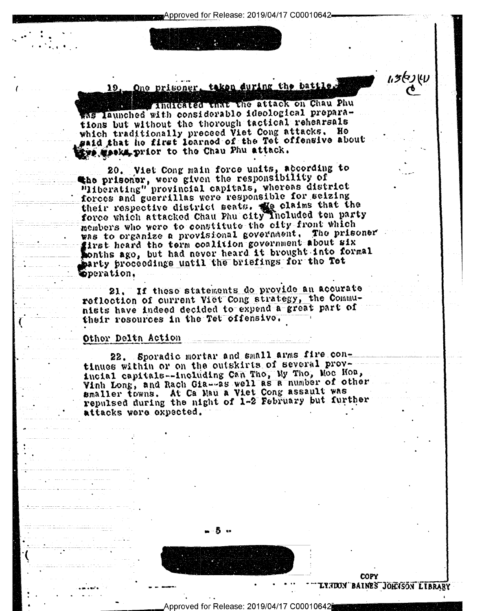pproved for Release: 2019/04/17 C00010642

One prisoner, taken during the battle.

Indicated that the attack on Chau Phu was launched with considerable ideological preparations but without the thorough tactical rehearsals which traditionally preceed Viet Cong attacks. Ho gaid that he first learned of the Tet offensive about the weeks prior to the Chau Phu attack.

20. Viet Cong main force units, according to the prisoner, were given the responsibility of "liberating" provincial capitals, whereas district forces and guerrillas were responsible for seizing their respective district seats. We claims that the<br>force which attacked Chau Phu city included ten party members who were to constitute the city-front which was to organize a provisional government. The prisoner girst heard the term conlition government about six sonths ago, but had never heard it brought into formal party proceedings until the briefings for the Tet pperation.

21. If these statements do provide an acourate reflection of current Viet Cong strategy, the Communists have indeed decided to expend a great part of their resources in the Tet offensive.

## Othor Delth Action

19.

22. Sporadic mortar and small arms fire continues within or on the outskirts of several proyincial capitals--including Can Tho, My Tho, Moc Hoa,<br>Vinh Long, and Rach Gia--as well as a number of other smaller towns. At Ca Mau a Viet Cong assault was repulsed during the night of 1-2 February but further attacks were expected.



Approved for Release: 2019/04/17 C00010642i

COPY TADON BAINES JOHNSON LIBRARY

いうぐりしり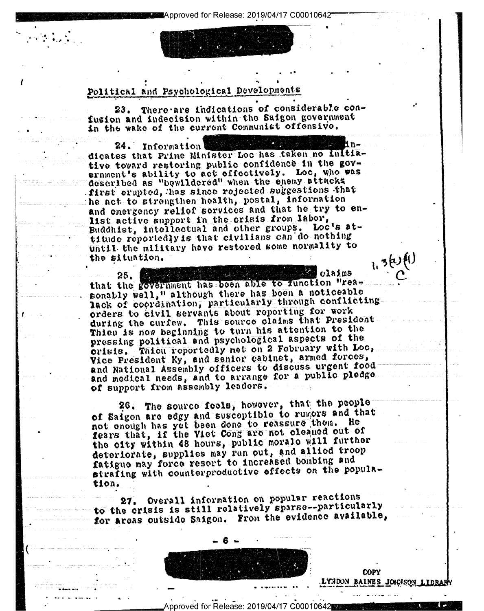Approved for Release: 2019/04/17 C00010642

# Political and Psychological Developments

23. There are indications of considerable confusion and indecision within the Saigon government in the wake of the current Communist offensivo.

24. Information dicates that Prime Minister Loc has taken no initiative toward restoring public confidence in the government's ability to act effectively. Loc, who was described as "bewildered" when the enemy attacks first erupted, has since rejected suggestions that he act to strengthen health, postal, information and emergency relief services and that he try to enlist active support in the crisis from labor, Buddhist, intellectual and other groups. Loc's attitude reportedly is that civilians can do nothing until the military have restored some normality to the situation.

 $c1$ ajm $s$ 25. that the government has been able to function "reasonably well," although there has boen a noticeable lack of coordination, particularly through conflicting orders to civil servants about reporting for work during the curfew. This source claims that President Thieu is now beginning to turn his attention to the pressing political and psychological aspects of the crisis. Thien reportedly met on 2 February with Loc, Vice President Ky, and senior cabinet, armed forces, and National Assembly officers to discuss urgent food and modical needs, and to arrange for a public pledge. of support from assembly leaders.

26. The source feels, however, that the people of Saigon are edgy and susceptible to runors and that not enough has yet been done to reassure them. He fears that, if the Viet Cong are not cleaned out of the city within 48 hours, public morale will further deteriorate, supplies may run out, and allied troop fatigue may force resort to increased bombing and strafing with counterproductive effects on the population.

Overall information on popular reactions 27. to the crisis is still rolatively sparse--particularly for areas outside Saigon. From the evidence available,

Approved for Release: 2019/04/17 C00010642

**COPY** LYNDON BAINES JOHNSON LIBRAR

1,3(2)(1)